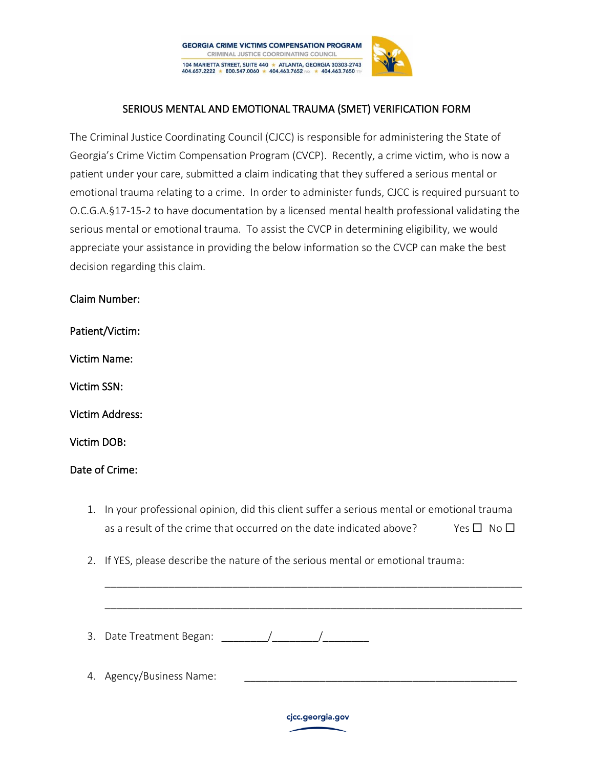

## SERIOUS MENTAL AND EMOTIONAL TRAUMA (SMET) VERIFICATION FORM

The Criminal Justice Coordinating Council (CJCC) is responsible for administering the State of Georgia's Crime Victim Compensation Program (CVCP). Recently, a crime victim, who is now a patient under your care, submitted a claim indicating that they suffered a serious mental or emotional trauma relating to a crime. In order to administer funds, CJCC is required pursuant to O.C.G.A.§17-15-2 to have documentation by a licensed mental health professional validating the serious mental or emotional trauma. To assist the CVCP in determining eligibility, we would appreciate your assistance in providing the below information so the CVCP can make the best decision regarding this claim.

Claim Number:

Patient/Victim:

Victim Name:

Victim SSN:

Victim Address:

Victim DOB:

## Date of Crime:

1. In your professional opinion, did this client suffer a serious mental or emotional trauma as a result of the crime that occurred on the date indicated above? Yes  $\Box$  No  $\Box$ 

\_\_\_\_\_\_\_\_\_\_\_\_\_\_\_\_\_\_\_\_\_\_\_\_\_\_\_\_\_\_\_\_\_\_\_\_\_\_\_\_\_\_\_\_\_\_\_\_\_\_\_\_\_\_\_\_\_\_\_\_\_\_\_\_\_\_\_\_\_\_\_\_

\_\_\_\_\_\_\_\_\_\_\_\_\_\_\_\_\_\_\_\_\_\_\_\_\_\_\_\_\_\_\_\_\_\_\_\_\_\_\_\_\_\_\_\_\_\_\_\_\_\_\_\_\_\_\_\_\_\_\_\_\_\_\_\_\_\_\_\_\_\_\_\_

2. If YES, please describe the nature of the serious mental or emotional trauma:

3. Date Treatment Began:  $\qquad \qquad / \qquad \qquad /$ 

4. Agency/Business Name: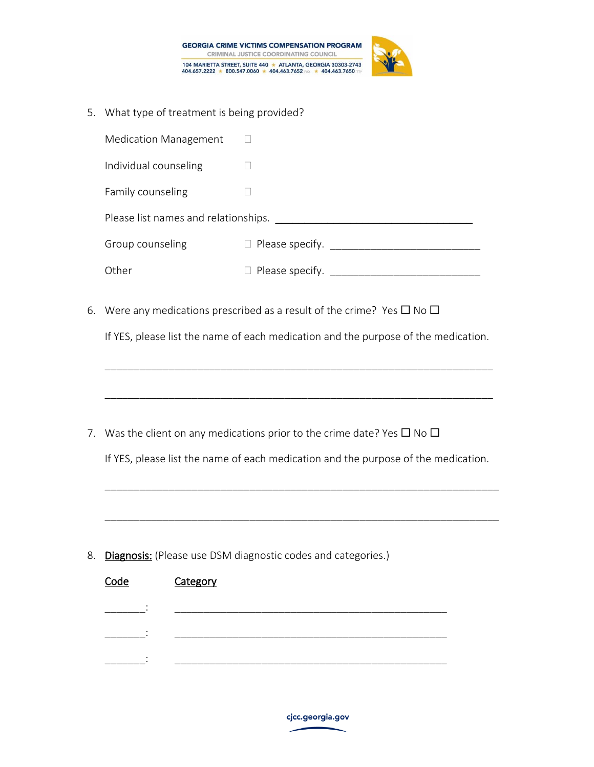



5. What type of treatment is being provided?

|    | <b>Medication Management</b>                                                                                                                                               |                                                                                                                                                                                |  |  |  |  |  |
|----|----------------------------------------------------------------------------------------------------------------------------------------------------------------------------|--------------------------------------------------------------------------------------------------------------------------------------------------------------------------------|--|--|--|--|--|
|    | Individual counseling                                                                                                                                                      | $\Box$                                                                                                                                                                         |  |  |  |  |  |
|    | Family counseling                                                                                                                                                          | $\mathbf{L}$                                                                                                                                                                   |  |  |  |  |  |
|    |                                                                                                                                                                            |                                                                                                                                                                                |  |  |  |  |  |
|    | Group counseling                                                                                                                                                           |                                                                                                                                                                                |  |  |  |  |  |
|    | Other                                                                                                                                                                      |                                                                                                                                                                                |  |  |  |  |  |
| 6. | Were any medications prescribed as a result of the crime? Yes $\square$ No $\square$<br>If YES, please list the name of each medication and the purpose of the medication. |                                                                                                                                                                                |  |  |  |  |  |
|    |                                                                                                                                                                            |                                                                                                                                                                                |  |  |  |  |  |
|    |                                                                                                                                                                            | 7. Was the client on any medications prior to the crime date? Yes $\square$ No $\square$<br>If YES, please list the name of each medication and the purpose of the medication. |  |  |  |  |  |
|    |                                                                                                                                                                            |                                                                                                                                                                                |  |  |  |  |  |
| 8. |                                                                                                                                                                            | Diagnosis: (Please use DSM diagnostic codes and categories.)                                                                                                                   |  |  |  |  |  |
|    | Code<br>Category                                                                                                                                                           |                                                                                                                                                                                |  |  |  |  |  |
|    |                                                                                                                                                                            |                                                                                                                                                                                |  |  |  |  |  |
|    |                                                                                                                                                                            |                                                                                                                                                                                |  |  |  |  |  |
|    |                                                                                                                                                                            |                                                                                                                                                                                |  |  |  |  |  |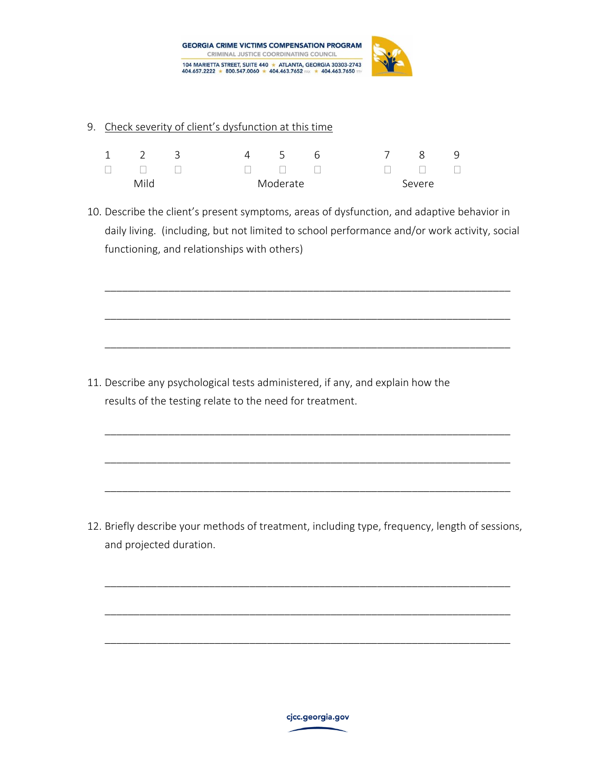

## 9. Check severity of client's dysfunction at this time

| $1 \quad 2$ |                      | $\overline{\mathbf{3}}$ |          | $-5$ | 6                              |        | 8 <sup>1</sup> |  |
|-------------|----------------------|-------------------------|----------|------|--------------------------------|--------|----------------|--|
|             | $\Box$ $\Box$ $\Box$ |                         |          |      | $\Box \qquad \Box \qquad \Box$ |        | $\Box$         |  |
| Mild        |                      |                         | Moderate |      |                                | Severe |                |  |

10. Describe the client's present symptoms, areas of dysfunction, and adaptive behavior in daily living. (including, but not limited to school performance and/or work activity, social functioning, and relationships with others)

\_\_\_\_\_\_\_\_\_\_\_\_\_\_\_\_\_\_\_\_\_\_\_\_\_\_\_\_\_\_\_\_\_\_\_\_\_\_\_\_\_\_\_\_\_\_\_\_\_\_\_\_\_\_\_\_\_\_\_\_\_\_\_\_\_\_\_\_\_\_

\_\_\_\_\_\_\_\_\_\_\_\_\_\_\_\_\_\_\_\_\_\_\_\_\_\_\_\_\_\_\_\_\_\_\_\_\_\_\_\_\_\_\_\_\_\_\_\_\_\_\_\_\_\_\_\_\_\_\_\_\_\_\_\_\_\_\_\_\_\_

\_\_\_\_\_\_\_\_\_\_\_\_\_\_\_\_\_\_\_\_\_\_\_\_\_\_\_\_\_\_\_\_\_\_\_\_\_\_\_\_\_\_\_\_\_\_\_\_\_\_\_\_\_\_\_\_\_\_\_\_\_\_\_\_\_\_\_\_\_\_

\_\_\_\_\_\_\_\_\_\_\_\_\_\_\_\_\_\_\_\_\_\_\_\_\_\_\_\_\_\_\_\_\_\_\_\_\_\_\_\_\_\_\_\_\_\_\_\_\_\_\_\_\_\_\_\_\_\_\_\_\_\_\_\_\_\_\_\_\_\_

\_\_\_\_\_\_\_\_\_\_\_\_\_\_\_\_\_\_\_\_\_\_\_\_\_\_\_\_\_\_\_\_\_\_\_\_\_\_\_\_\_\_\_\_\_\_\_\_\_\_\_\_\_\_\_\_\_\_\_\_\_\_\_\_\_\_\_\_\_\_

\_\_\_\_\_\_\_\_\_\_\_\_\_\_\_\_\_\_\_\_\_\_\_\_\_\_\_\_\_\_\_\_\_\_\_\_\_\_\_\_\_\_\_\_\_\_\_\_\_\_\_\_\_\_\_\_\_\_\_\_\_\_\_\_\_\_\_\_\_\_

11. Describe any psychological tests administered, if any, and explain how the results of the testing relate to the need for treatment.

12. Briefly describe your methods of treatment, including type, frequency, length of sessions, and projected duration.

\_\_\_\_\_\_\_\_\_\_\_\_\_\_\_\_\_\_\_\_\_\_\_\_\_\_\_\_\_\_\_\_\_\_\_\_\_\_\_\_\_\_\_\_\_\_\_\_\_\_\_\_\_\_\_\_\_\_\_\_\_\_\_\_\_\_\_\_\_\_

\_\_\_\_\_\_\_\_\_\_\_\_\_\_\_\_\_\_\_\_\_\_\_\_\_\_\_\_\_\_\_\_\_\_\_\_\_\_\_\_\_\_\_\_\_\_\_\_\_\_\_\_\_\_\_\_\_\_\_\_\_\_\_\_\_\_\_\_\_\_

\_\_\_\_\_\_\_\_\_\_\_\_\_\_\_\_\_\_\_\_\_\_\_\_\_\_\_\_\_\_\_\_\_\_\_\_\_\_\_\_\_\_\_\_\_\_\_\_\_\_\_\_\_\_\_\_\_\_\_\_\_\_\_\_\_\_\_\_\_\_